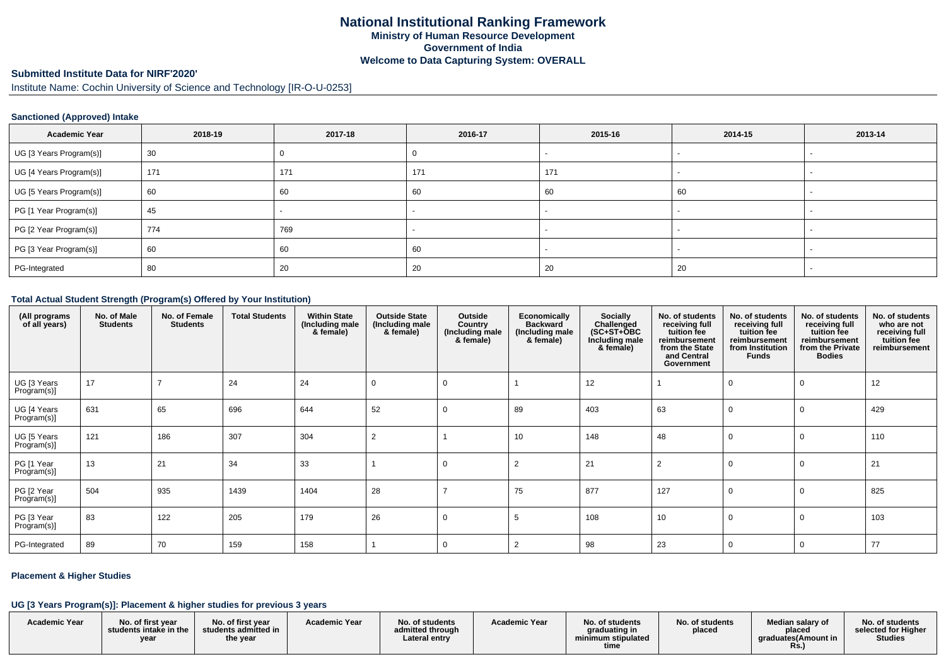# **Submitted Institute Data for NIRF'2020'**

Institute Name: Cochin University of Science and Technology [IR-O-U-0253]

#### **Sanctioned (Approved) Intake**

| <b>Academic Year</b>    | 2018-19 | 2017-18 | 2016-17 | 2015-16 | 2014-15 | 2013-14 |
|-------------------------|---------|---------|---------|---------|---------|---------|
| UG [3 Years Program(s)] | 30      |         |         |         |         |         |
| UG [4 Years Program(s)] | 171     | 171     | 171     | 171     |         |         |
| UG [5 Years Program(s)] | 60      | 60      | 60      | 60      | 60      |         |
| PG [1 Year Program(s)]  | 45      |         |         |         |         |         |
| PG [2 Year Program(s)]  | 774     | 769     |         |         |         |         |
| PG [3 Year Program(s)]  | 60      | 60      | 60      |         |         |         |
| PG-Integrated           | 80      | 20      | 20      | 20      | 20      |         |

#### **Total Actual Student Strength (Program(s) Offered by Your Institution)**

| (All programs<br>of all years) | No. of Male<br><b>Students</b> | No. of Female<br><b>Students</b> | <b>Total Students</b> | <b>Within State</b><br>(Including male<br>& female) | <b>Outside State</b><br>(Including male<br>& female) | Outside<br>Country<br>(Including male<br>& female) | Economically<br><b>Backward</b><br>(Including male<br>& female) | <b>Socially</b><br>Challenged<br>$(SC+ST+OBC)$<br>Including male<br>& female) | No. of students<br>receiving full<br>tuition fee<br>reimbursement<br>from the State<br>and Central<br>Government | No. of students<br>receiving full<br>tuition fee<br>reimbursement<br>from Institution<br><b>Funds</b> | No. of students<br>receiving full<br>tuition fee<br>reimbursement<br>from the Private<br><b>Bodies</b> | No. of students<br>who are not<br>receiving full<br>tuition fee<br>reimbursement |
|--------------------------------|--------------------------------|----------------------------------|-----------------------|-----------------------------------------------------|------------------------------------------------------|----------------------------------------------------|-----------------------------------------------------------------|-------------------------------------------------------------------------------|------------------------------------------------------------------------------------------------------------------|-------------------------------------------------------------------------------------------------------|--------------------------------------------------------------------------------------------------------|----------------------------------------------------------------------------------|
| UG [3 Years<br>Program(s)]     | 17                             |                                  | 24                    | 24                                                  | 0                                                    | 0                                                  |                                                                 | 12                                                                            |                                                                                                                  |                                                                                                       |                                                                                                        | 12                                                                               |
| UG [4 Years<br>Program(s)]     | 631                            | 65                               | 696                   | 644                                                 | 52                                                   | 0                                                  | 89                                                              | 403                                                                           | 63                                                                                                               |                                                                                                       |                                                                                                        | 429                                                                              |
| UG [5 Years<br>Program(s)]     | 121                            | 186                              | 307                   | 304                                                 | $\overline{2}$                                       |                                                    | 10                                                              | 148                                                                           | 48                                                                                                               |                                                                                                       |                                                                                                        | 110                                                                              |
| PG [1 Year<br>Program(s)]      | 13                             | 21                               | 34                    | 33                                                  |                                                      | $\Omega$                                           | $\overline{2}$                                                  | 21                                                                            | $\overline{2}$                                                                                                   |                                                                                                       |                                                                                                        | 21                                                                               |
| PG [2 Year<br>Program(s)]      | 504                            | 935                              | 1439                  | 1404                                                | 28                                                   |                                                    | 75                                                              | 877                                                                           | 127                                                                                                              |                                                                                                       |                                                                                                        | 825                                                                              |
| PG [3 Year<br>Program(s)]      | 83                             | 122                              | 205                   | 179                                                 | 26                                                   | 0                                                  | -5                                                              | 108                                                                           | 10                                                                                                               |                                                                                                       |                                                                                                        | 103                                                                              |
| PG-Integrated                  | 89                             | 70                               | 159                   | 158                                                 |                                                      | 0                                                  |                                                                 | 98                                                                            | 23                                                                                                               |                                                                                                       |                                                                                                        | 77                                                                               |

### **Placement & Higher Studies**

#### **UG [3 Years Program(s)]: Placement & higher studies for previous 3 years**

| <b>Academic Year</b> | No. of first vear<br>students intake in the<br>year | No. of first vear<br>students admitted in<br>the year | <b>Academic Year</b> | No. of students<br>admitted through<br>Lateral entry | <b>Academic Year</b> | No. of students<br>graduating in<br>minimum stipulated<br>time | No. of students<br>placed | Median salary of<br>placed<br>araduates(Amount in<br>Rs. | No. of students<br>selected for Higher<br><b>Studies</b> |
|----------------------|-----------------------------------------------------|-------------------------------------------------------|----------------------|------------------------------------------------------|----------------------|----------------------------------------------------------------|---------------------------|----------------------------------------------------------|----------------------------------------------------------|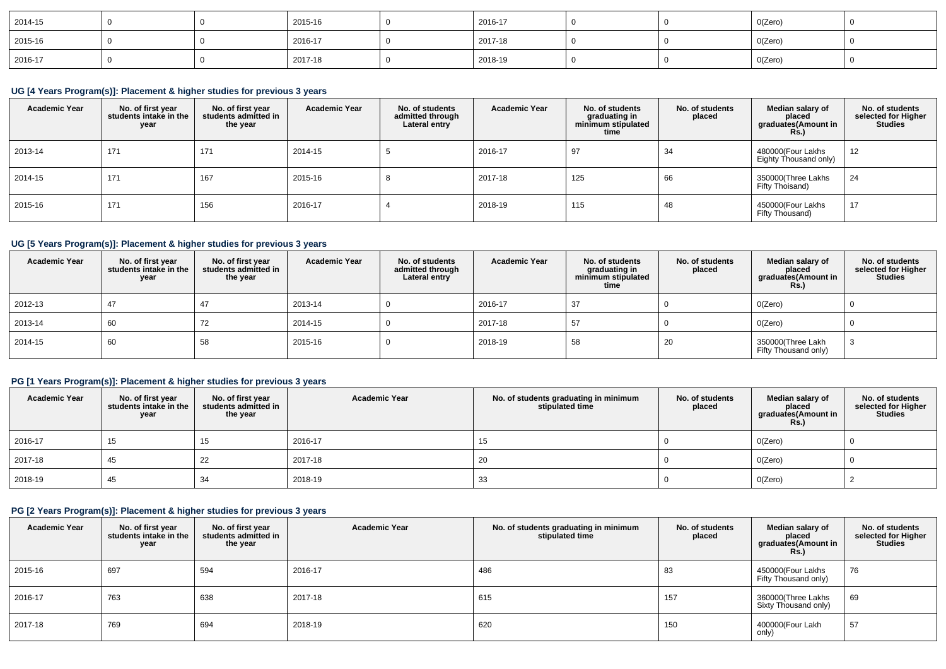| 2014-15 |  | 2015-16 | 2016-17 |  | 0(Zero) |  |
|---------|--|---------|---------|--|---------|--|
| 2015-16 |  | 2016-17 | 2017-18 |  | 0(Zero) |  |
| 2016-17 |  | 2017-18 | 2018-19 |  | O(Zero) |  |

# **UG [4 Years Program(s)]: Placement & higher studies for previous 3 years**

| <b>Academic Year</b> | No. of first year<br>students intake in the<br>year | No. of first vear<br>students admitted in<br>the year | <b>Academic Year</b> | No. of students<br>admitted through<br>Lateral entry | <b>Academic Year</b> | No. of students<br>graduating in<br>minimum stipulated<br>time | No. of students<br>placed | Median salary of<br>placed<br>graduates(Amount in<br><b>Rs.</b> ) | No. of students<br>selected for Higher<br><b>Studies</b> |
|----------------------|-----------------------------------------------------|-------------------------------------------------------|----------------------|------------------------------------------------------|----------------------|----------------------------------------------------------------|---------------------------|-------------------------------------------------------------------|----------------------------------------------------------|
| 2013-14              | 171                                                 | 171                                                   | 2014-15              |                                                      | 2016-17              | 97                                                             | 34                        | 480000(Four Lakhs<br>Eighty Thousand only)                        | 12                                                       |
| 2014-15              | 171                                                 | 167                                                   | 2015-16              |                                                      | 2017-18              | 125                                                            | 66                        | 350000(Three Lakhs<br>Fifty Thoisand)                             | 24                                                       |
| 2015-16              | 171                                                 | 156                                                   | 2016-17              |                                                      | 2018-19              | 115                                                            | 48                        | 450000(Four Lakhs<br>Fifty Thousand)                              | 17                                                       |

# **UG [5 Years Program(s)]: Placement & higher studies for previous 3 years**

| <b>Academic Year</b> | No. of first year<br>students intake in the<br>year | No. of first vear<br>students admitted in<br>the year | <b>Academic Year</b> | No. of students<br>admitted through<br>Lateral entry | <b>Academic Year</b> | No. of students<br>graduating in<br>minimum stipulated<br>time | No. of students<br>placed | Median salary of<br>placed<br>graduates(Amount in<br><b>Rs.)</b> | No. of students<br>selected for Higher<br>Studies |
|----------------------|-----------------------------------------------------|-------------------------------------------------------|----------------------|------------------------------------------------------|----------------------|----------------------------------------------------------------|---------------------------|------------------------------------------------------------------|---------------------------------------------------|
| 2012-13              | 47                                                  | 47                                                    | 2013-14              |                                                      | 2016-17              | 37                                                             |                           | O(Zero)                                                          |                                                   |
| 2013-14              | 60                                                  | 72                                                    | 2014-15              |                                                      | 2017-18              | -57                                                            |                           | O(Zero)                                                          |                                                   |
| $2014 - 15$          | 60                                                  | 58                                                    | 2015-16              |                                                      | 2018-19              | 58                                                             | 20                        | 350000(Three Lakh<br>Fifty Thousand only)                        |                                                   |

# **PG [1 Years Program(s)]: Placement & higher studies for previous 3 years**

| <b>Academic Year</b> | No. of first year<br>students intake in the<br>year | No. of first year<br>students admitted in<br>the year | <b>Academic Year</b> | No. of students graduating in minimum<br>stipulated time | No. of students<br>placed | Median salary of<br>placed<br>graduates(Amount in<br><b>Rs.)</b> | No. of students<br>selected for Higher<br><b>Studies</b> |
|----------------------|-----------------------------------------------------|-------------------------------------------------------|----------------------|----------------------------------------------------------|---------------------------|------------------------------------------------------------------|----------------------------------------------------------|
| 2016-17              | 15                                                  | 15                                                    | 2016-17              | 15                                                       |                           | O(Zero)                                                          |                                                          |
| 2017-18              | 45                                                  | 22                                                    | 2017-18              | 20                                                       |                           | O(Zero)                                                          |                                                          |
| 2018-19              | 45                                                  | 34                                                    | 2018-19              | 33                                                       |                           | O(Zero)                                                          |                                                          |

### **PG [2 Years Program(s)]: Placement & higher studies for previous 3 years**

| <b>Academic Year</b> | No. of first year<br>students intake in the<br>year | No. of first year<br>students admitted in<br>the year | <b>Academic Year</b> | No. of students graduating in minimum<br>stipulated time | No. of students<br>placed | Median salary of<br>placed<br>graduates(Amount in<br><b>Rs.)</b> | No. of students<br>selected for Higher<br><b>Studies</b> |
|----------------------|-----------------------------------------------------|-------------------------------------------------------|----------------------|----------------------------------------------------------|---------------------------|------------------------------------------------------------------|----------------------------------------------------------|
| 2015-16              | 697                                                 | 594                                                   | 2016-17              | 486                                                      | 83                        | 450000(Four Lakhs<br>Fifty Thousand only)                        | 76                                                       |
| 2016-17              | 763                                                 | 638                                                   | 2017-18              | 615                                                      | 157                       | 360000(Three Lakhs<br>Sixty Thousand only)                       | 69                                                       |
| 2017-18              | 769                                                 | 694                                                   | 2018-19              | 620                                                      | 150                       | 400000(Four Lakh<br>only)                                        | 57                                                       |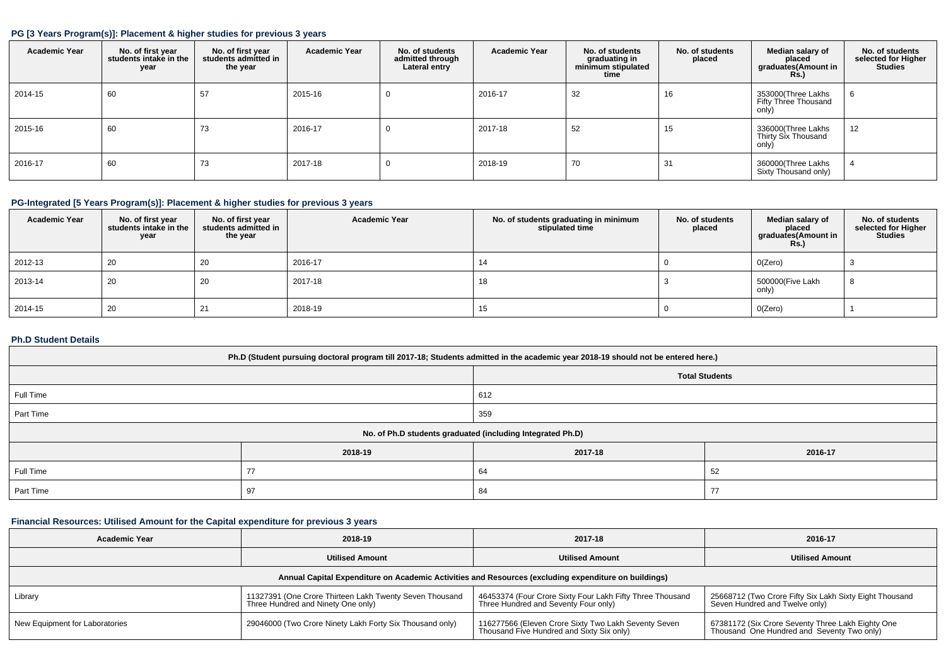#### **PG [3 Years Program(s)]: Placement & higher studies for previous 3 years**

| <b>Academic Year</b> | No. of first year<br>students intake in the<br>year | No. of first vear<br>students admitted in<br>the year | <b>Academic Year</b> | No. of students<br>admitted through<br>Lateral entry | <b>Academic Year</b> | No. of students<br>graduating in<br>minimum stipulated<br>time | No. of students<br>placed | Median salary of<br>placed<br>graduates(Amount in<br><b>Rs.)</b> | No. of students<br>selected for Higher<br><b>Studies</b> |
|----------------------|-----------------------------------------------------|-------------------------------------------------------|----------------------|------------------------------------------------------|----------------------|----------------------------------------------------------------|---------------------------|------------------------------------------------------------------|----------------------------------------------------------|
| 2014-15              | 60                                                  | 57                                                    | 2015-16              | 0                                                    | 2016-17              | 32                                                             | 16                        | 353000(Three Lakhs<br>Fifty Three Thousand<br>only)              |                                                          |
| 2015-16              | 60                                                  | 73                                                    | 2016-17              |                                                      | 2017-18              | 52                                                             | 15                        | 336000(Three Lakhs<br>Thirty Six Thousand<br>only)               | 12                                                       |
| 2016-17              | 60                                                  | 73                                                    | 2017-18              |                                                      | 2018-19              | 70                                                             | 31                        | 360000(Three Lakhs<br>Sixty Thousand only)                       |                                                          |

# **PG-Integrated [5 Years Program(s)]: Placement & higher studies for previous 3 years**

| <b>Academic Year</b> | No. of first year<br>students intake in the<br>year | No. of first vear<br>students admitted in<br>the year | <b>Academic Year</b> | No. of students graduating in minimum<br>stipulated time | No. of students<br>placed | Median salary of<br>placed<br>graduates(Amount in<br><b>Rs.)</b> | No. of students<br>selected for Higher<br><b>Studies</b> |
|----------------------|-----------------------------------------------------|-------------------------------------------------------|----------------------|----------------------------------------------------------|---------------------------|------------------------------------------------------------------|----------------------------------------------------------|
| 2012-13              | 20                                                  | 20                                                    | 2016-17              | 14                                                       |                           | O(Zero)                                                          |                                                          |
| 2013-14              | 20                                                  | 20                                                    | 2017-18              | 18                                                       |                           | 500000 (Five Lakh<br>only)                                       |                                                          |
| 2014-15              | 20                                                  | 21                                                    | 2018-19              | 15                                                       |                           | O(Zero)                                                          |                                                          |

#### **Ph.D Student Details**

| Ph.D (Student pursuing doctoral program till 2017-18; Students admitted in the academic year 2018-19 should not be entered here.) |                                                            |                       |         |  |  |  |  |
|-----------------------------------------------------------------------------------------------------------------------------------|------------------------------------------------------------|-----------------------|---------|--|--|--|--|
|                                                                                                                                   |                                                            | <b>Total Students</b> |         |  |  |  |  |
| Full Time                                                                                                                         |                                                            | 612                   |         |  |  |  |  |
| Part Time                                                                                                                         |                                                            | 359                   |         |  |  |  |  |
|                                                                                                                                   | No. of Ph.D students graduated (including Integrated Ph.D) |                       |         |  |  |  |  |
|                                                                                                                                   | 2018-19                                                    | 2017-18               | 2016-17 |  |  |  |  |
| Full Time                                                                                                                         | 77                                                         | 52<br>64              |         |  |  |  |  |
| Part Time                                                                                                                         | 97                                                         | 84                    | 77      |  |  |  |  |

### **Financial Resources: Utilised Amount for the Capital expenditure for previous 3 years**

| <b>Academic Year</b>           | 2018-19                                                                                       | 2017-18                                                                                              | 2016-17                                                                                         |
|--------------------------------|-----------------------------------------------------------------------------------------------|------------------------------------------------------------------------------------------------------|-------------------------------------------------------------------------------------------------|
|                                | <b>Utilised Amount</b>                                                                        | <b>Utilised Amount</b>                                                                               | <b>Utilised Amount</b>                                                                          |
|                                |                                                                                               | Annual Capital Expenditure on Academic Activities and Resources (excluding expenditure on buildings) |                                                                                                 |
| Library                        | 11327391 (One Crore Thirteen Lakh Twenty Seven Thousand<br>Three Hundred and Ninety One only) | 46453374 (Four Crore Sixty Four Lakh Fifty Three Thousand<br>Three Hundred and Seventy Four only)    | 25668712 (Two Crore Fifty Six Lakh Sixty Eight Thousand<br>Seven Hundred and Twelve only)       |
| New Equipment for Laboratories | 29046000 (Two Crore Ninety Lakh Forty Six Thousand only)                                      | 116277566 (Eleven Crore Sixty Two Lakh Seventy Seven<br>Thousand Five Hundred and Sixty Six only)    | 67381172 (Six Crore Seventy Three Lakh Eighty One<br>Thousand One Hundred and Seventy Two only) |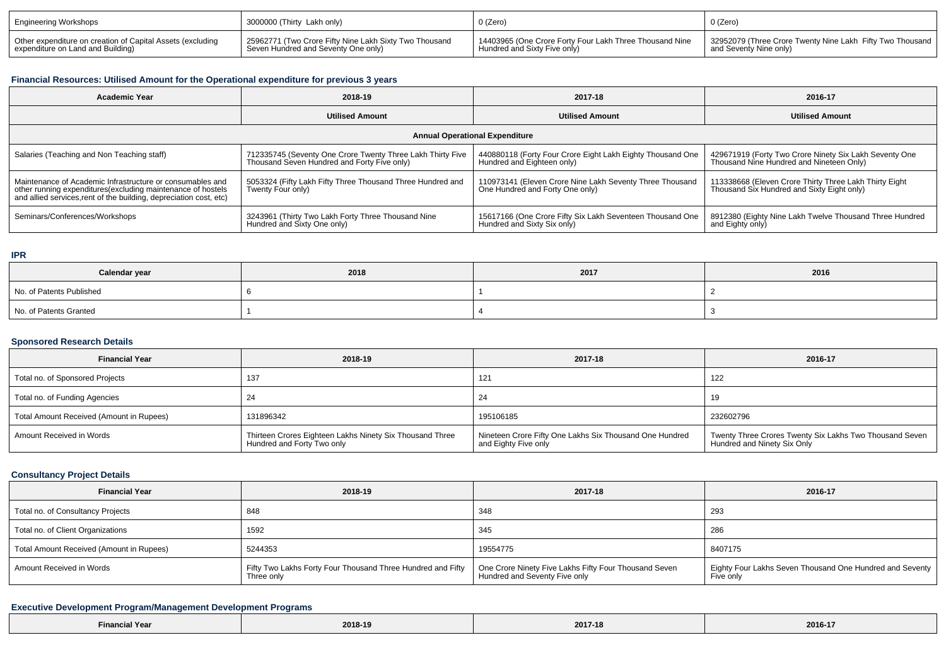| Engineering Workshops                                      | I 3000000 (Thirty Lakh only)                           | $0$ (Zero)                                              | 0 (Zero)                                                  |
|------------------------------------------------------------|--------------------------------------------------------|---------------------------------------------------------|-----------------------------------------------------------|
| Other expenditure on creation of Capital Assets (excluding | 25962771 (Two Crore Fifty Nine Lakh Sixty Two Thousand | 14403965 (One Crore Forty Four Lakh Three Thousand Nine | 32952079 (Three Crore Twenty Nine Lakh Fifty Two Thousand |
| expenditure on Land and Building)                          | Seven Hundred and Seventy One only)                    | Hundred and Sixty Five only)                            | and Seventy Nine only)                                    |

# **Financial Resources: Utilised Amount for the Operational expenditure for previous 3 years**

| <b>Academic Year</b>                                                                                                                                                                            | 2018-19                                                                                                   | 2017-18                                                                                     | 2016-17                                                                                              |  |  |  |  |  |
|-------------------------------------------------------------------------------------------------------------------------------------------------------------------------------------------------|-----------------------------------------------------------------------------------------------------------|---------------------------------------------------------------------------------------------|------------------------------------------------------------------------------------------------------|--|--|--|--|--|
|                                                                                                                                                                                                 | <b>Utilised Amount</b>                                                                                    | <b>Utilised Amount</b>                                                                      | <b>Utilised Amount</b>                                                                               |  |  |  |  |  |
| <b>Annual Operational Expenditure</b>                                                                                                                                                           |                                                                                                           |                                                                                             |                                                                                                      |  |  |  |  |  |
| Salaries (Teaching and Non Teaching staff)                                                                                                                                                      | 712335745 (Seventy One Crore Twenty Three Lakh Thirty Five<br>Thousand Seven Hundred and Forty Five only) | 440880118 (Forty Four Crore Eight Lakh Eighty Thousand One<br>Hundred and Eighteen only)    | 429671919 (Forty Two Crore Ninety Six Lakh Seventy One<br>Thousand Nine Hundred and Nineteen Only)   |  |  |  |  |  |
| Maintenance of Academic Infrastructure or consumables and<br>other running expenditures (excluding maintenance of hostels<br>and allied services, rent of the building, depreciation cost, etc) | 5053324 (Fifty Lakh Fifty Three Thousand Three Hundred and<br>Twenty Four only)                           | 110973141 (Eleven Crore Nine Lakh Seventy Three Thousand<br>One Hundred and Forty One only) | 113338668 (Eleven Crore Thirty Three Lakh Thirty Eight<br>Thousand Six Hundred and Sixty Eight only) |  |  |  |  |  |
| Seminars/Conferences/Workshops                                                                                                                                                                  | <sup>1</sup> 3243961 (Thirty Two Lakh Forty Three Thousand Nine<br>Hundred and Sixty One only)            | 15617166 (One Crore Fifty Six Lakh Seventeen Thousand One<br>Hundred and Sixty Six only)    | 8912380 (Eighty Nine Lakh Twelve Thousand Three Hundred<br>and Eighty only)                          |  |  |  |  |  |

**IPR**

| Calendar year            | 2018 | 2017 | 2016 |  |
|--------------------------|------|------|------|--|
| No. of Patents Published |      |      |      |  |
| No. of Patents Granted   |      |      |      |  |

# **Sponsored Research Details**

| <b>Financial Year</b>                    | 2018-19                                                                                | 2017-18                                                                         | 2016-17                                                                                |
|------------------------------------------|----------------------------------------------------------------------------------------|---------------------------------------------------------------------------------|----------------------------------------------------------------------------------------|
| Total no. of Sponsored Projects          | 137                                                                                    | 121                                                                             | 122                                                                                    |
| Total no. of Funding Agencies            |                                                                                        | 24                                                                              | 10.                                                                                    |
| Total Amount Received (Amount in Rupees) | 131896342                                                                              | 195106185                                                                       | 232602796                                                                              |
| Amount Received in Words                 | Thirteen Crores Eighteen Lakhs Ninety Six Thousand Three<br>Hundred and Forty Two only | Nineteen Crore Fifty One Lakhs Six Thousand One Hundred<br>and Eighty Five only | Twenty Three Crores Twenty Six Lakhs Two Thousand Seven<br>Hundred and Ninety Six Only |

# **Consultancy Project Details**

| <b>Financial Year</b>                    | 2018-19                                                                   | 2017-18                                                                                | 2016-17                                                               |
|------------------------------------------|---------------------------------------------------------------------------|----------------------------------------------------------------------------------------|-----------------------------------------------------------------------|
| Total no. of Consultancy Projects        | 848                                                                       | 348                                                                                    | 293                                                                   |
| Total no. of Client Organizations        | 1592                                                                      | 345                                                                                    | 286                                                                   |
| Total Amount Received (Amount in Rupees) | 5244353                                                                   | 19554775                                                                               | 8407175                                                               |
| Amount Received in Words                 | Fifty Two Lakhs Forty Four Thousand Three Hundred and Fifty<br>Three only | One Crore Ninety Five Lakhs Fifty Four Thousand Seven<br>Hundred and Seventy Five only | Eighty Four Lakhs Seven Thousand One Hundred and Seventy<br>Five only |

# **Executive Development Program/Management Development Programs**

| -ınan | 2018-19 | <b>004746</b><br><b>2017-18</b> | 0.01017<br>2016-17 |
|-------|---------|---------------------------------|--------------------|
|-------|---------|---------------------------------|--------------------|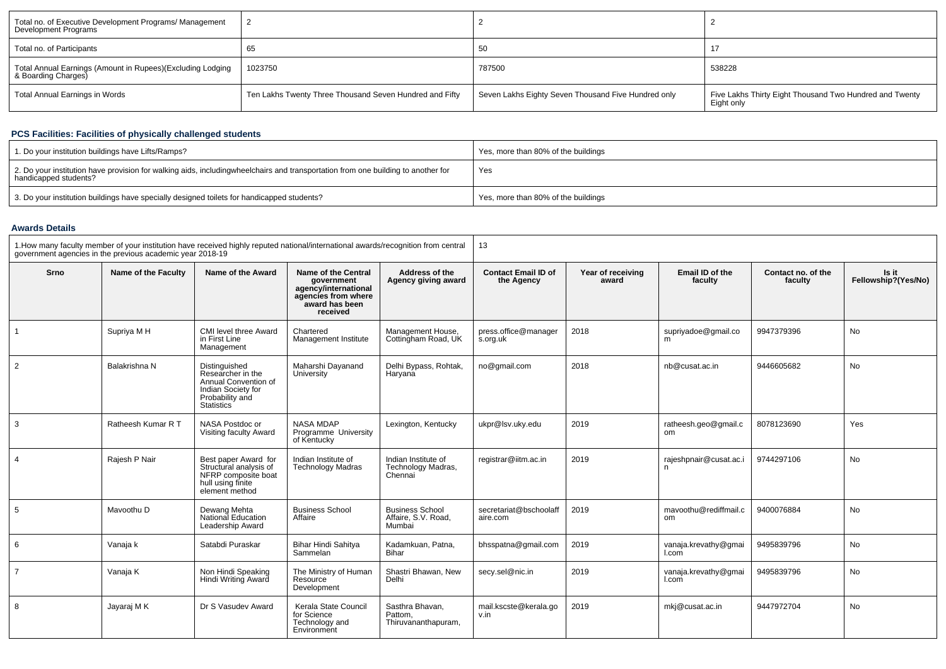| Total no. of Executive Development Programs/ Management<br>Development Programs   |                                                         |                                                     |                                                                       |
|-----------------------------------------------------------------------------------|---------------------------------------------------------|-----------------------------------------------------|-----------------------------------------------------------------------|
| Total no. of Participants                                                         | -65                                                     | -50                                                 |                                                                       |
| Total Annual Earnings (Amount in Rupees)(Excluding Lodging<br>& Boarding Charges) | 1023750                                                 | 787500                                              | 538228                                                                |
| Total Annual Earnings in Words                                                    | Ten Lakhs Twenty Three Thousand Seven Hundred and Fifty | Seven Lakhs Eighty Seven Thousand Five Hundred only | Five Lakhs Thirty Eight Thousand Two Hundred and Twenty<br>Eight only |

# **PCS Facilities: Facilities of physically challenged students**

| 1. Do your institution buildings have Lifts/Ramps?                                                                                                        | Yes, more than 80% of the buildings |
|-----------------------------------------------------------------------------------------------------------------------------------------------------------|-------------------------------------|
| 2. Do your institution have provision for walking aids, includingwheelchairs and transportation from one building to another for<br>handicapped students? | Yes                                 |
| 3. Do your institution buildings have specially designed toilets for handicapped students?                                                                | Yes, more than 80% of the buildings |

#### **Awards Details**

| 1. How many faculty member of your institution have received highly reputed national/international awards/recognition from central<br>government agencies in the previous academic year 2018-19 |                     |                                                                                                                          | 13                                                                                                             |                                                         |                                          |                            |                               |                               |                              |
|-------------------------------------------------------------------------------------------------------------------------------------------------------------------------------------------------|---------------------|--------------------------------------------------------------------------------------------------------------------------|----------------------------------------------------------------------------------------------------------------|---------------------------------------------------------|------------------------------------------|----------------------------|-------------------------------|-------------------------------|------------------------------|
| Srno                                                                                                                                                                                            | Name of the Faculty | Name of the Award                                                                                                        | Name of the Central<br>government<br>agency/international<br>agencies from where<br>award has been<br>received | Address of the<br>Agency giving award                   | <b>Contact Email ID of</b><br>the Agency | Year of receiving<br>award | Email ID of the<br>faculty    | Contact no. of the<br>faculty | Is it<br>Fellowship?(Yes/No) |
|                                                                                                                                                                                                 | Supriya M H         | CMI level three Award<br>in First Line<br>Management                                                                     | Chartered<br>Management Institute                                                                              | Management House,<br>Cottingham Road, UK                | press.office@manager<br>s.org.uk         | 2018                       | supriyadoe@gmail.co           | 9947379396                    | <b>No</b>                    |
| 2                                                                                                                                                                                               | Balakrishna N       | Distinguished<br>Researcher in the<br>Annual Convention of<br>Indian Society for<br>Probability and<br><b>Statistics</b> | Maharshi Dayanand<br>University                                                                                | Delhi Bypass, Rohtak,<br>Haryana                        | no@gmail.com                             | 2018                       | nb@cusat.ac.in                | 9446605682                    | No                           |
| 3                                                                                                                                                                                               | Ratheesh Kumar R T  | NASA Postdoc or<br>Visiting faculty Award                                                                                | <b>NASA MDAP</b><br>Programme University<br>of Kentucky                                                        | Lexington, Kentucky                                     | ukpr@lsv.uky.edu                         | 2019                       | ratheesh.geo@gmail.c<br>om    | 8078123690                    | Yes                          |
| $\overline{4}$                                                                                                                                                                                  | Rajesh P Nair       | Best paper Award for<br>Structural analysis of<br>NFRP composite boat<br>hull using finite<br>element method             | Indian Institute of<br><b>Technology Madras</b>                                                                | Indian Institute of<br>Technology Madras,<br>Chennai    | registrar@iitm.ac.in                     | 2019                       | rajeshpnair@cusat.ac.i<br>n   | 9744297106                    | <b>No</b>                    |
| 5                                                                                                                                                                                               | Mavoothu D          | Dewang Mehta<br>National Education<br>Leadership Award                                                                   | <b>Business School</b><br>Affaire                                                                              | <b>Business School</b><br>Affaire, S.V. Road,<br>Mumbai | secretariat@bschoolaff<br>aire.com       | 2019                       | mavoothu@rediffmail.c<br>om   | 9400076884                    | <b>No</b>                    |
| 6                                                                                                                                                                                               | Vanaja k            | Satabdi Puraskar                                                                                                         | Bihar Hindi Sahitya<br>Sammelan                                                                                | Kadamkuan, Patna.<br>Bihar                              | bhsspatna@gmail.com                      | 2019                       | vanaja.krevathy@qmai<br>I.com | 9495839796                    | <b>No</b>                    |
| $\overline{7}$                                                                                                                                                                                  | Vanaja K            | Non Hindi Speaking<br>Hindi Writing Award                                                                                | The Ministry of Human<br>Resource<br>Development                                                               | Shastri Bhawan, New<br>Delhi                            | secy.sel@nic.in                          | 2019                       | vanaja.krevathy@gmai<br>I.com | 9495839796                    | No                           |
| 8                                                                                                                                                                                               | Jayaraj M K         | Dr S Vasudev Award                                                                                                       | Kerala State Council<br>for Science<br>Technology and<br>Environment                                           | Sasthra Bhavan.<br>Pattom.<br>Thiruvananthapuram,       | mail.kscste@kerala.go<br>v.in            | 2019                       | mkj@cusat.ac.in               | 9447972704                    | <b>No</b>                    |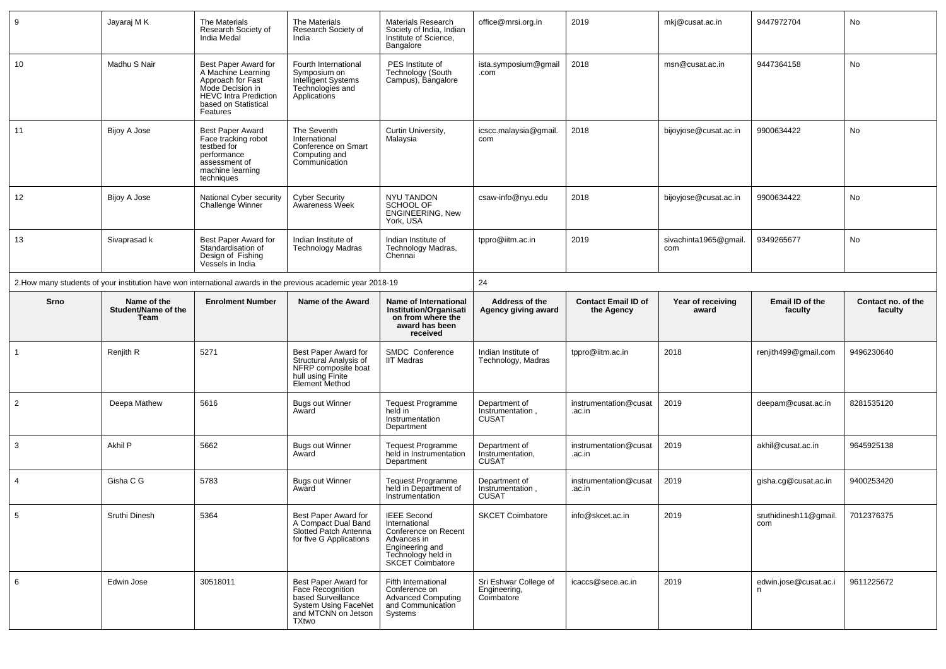| 9              | Jayaraj M K                                | The Materials<br>Research Society of<br>India Medal                                                                                                     | The Materials<br>Research Society of<br>India                                                                | Materials Research<br>Society of India, Indian<br>Institute of Science,<br>Bangalore                                                           | office@mrsi.org.in                                | 2019                                     | mkj@cusat.ac.in              | 9447972704                              | No                            |  |
|----------------|--------------------------------------------|---------------------------------------------------------------------------------------------------------------------------------------------------------|--------------------------------------------------------------------------------------------------------------|------------------------------------------------------------------------------------------------------------------------------------------------|---------------------------------------------------|------------------------------------------|------------------------------|-----------------------------------------|-------------------------------|--|
| 10             | Madhu S Nair                               | Best Paper Award for<br>A Machine Learning<br>Approach for Fast<br>Mode Decision in<br><b>HEVC Intra Prediction</b><br>based on Statistical<br>Features | Fourth International<br>Symposium on<br>Intelligent Systems<br>Technologies and<br>Applications              | PES Institute of<br>Technology (South<br>Campus), Bangalore                                                                                    | ista.symposium@gmail<br>.com                      | 2018                                     | msn@cusat.ac.in              | 9447364158                              | No                            |  |
| 11             | Bijoy A Jose                               | <b>Best Paper Award</b><br>Face tracking robot<br>testbed for<br>performance<br>assessment of<br>machine learning<br>techniques                         | The Seventh<br>International<br>Conference on Smart<br>Computing and<br>Communication                        | Curtin University,<br>Malaysia                                                                                                                 | icscc.malaysia@gmail.<br>com                      | 2018                                     | bijoyjose@cusat.ac.in        | 9900634422                              | No                            |  |
| 12             | Bijoy A Jose                               | National Cyber security<br>Challenge Winner                                                                                                             | Cyber Security<br>Awareness Week                                                                             | NYU TANDON<br>SCHOOL OF<br>ENGINEERING, New<br>York, USA                                                                                       | csaw-info@nyu.edu                                 | 2018                                     | bijoyjose@cusat.ac.in        | 9900634422                              | No                            |  |
| 13             | Sivaprasad k                               | Best Paper Award for<br>Standardisation of<br>Design of Fishing<br>Vessels in India                                                                     | Indian Institute of<br><b>Technology Madras</b>                                                              | Indian Institute of<br>Technology Madras,<br>Chennai                                                                                           | tppro@iitm.ac.in                                  | 2019                                     | sivachinta1965@gmail.<br>com | 9349265677                              | No                            |  |
|                |                                            |                                                                                                                                                         | 2. How many students of your institution have won international awards in the previous academic year 2018-19 |                                                                                                                                                | 24                                                |                                          |                              |                                         |                               |  |
| Srno           | Name of the<br>Student/Name of the<br>Team | <b>Enrolment Number</b>                                                                                                                                 | Name of the Award                                                                                            | Name of International<br><b>Institution/Organisati</b><br>on from where the                                                                    | Address of the<br>Agency giving award             | <b>Contact Email ID of</b><br>the Agency | Year of receiving<br>award   | Email ID of the<br>faculty              | Contact no. of the<br>faculty |  |
|                |                                            |                                                                                                                                                         |                                                                                                              | award has been<br>received                                                                                                                     |                                                   |                                          |                              |                                         |                               |  |
| -1             | Renjith R                                  | 5271                                                                                                                                                    | Best Paper Award for<br>Structural Analysis of<br>NFRP composite boat<br>hull using Finite<br>Element Method | SMDC Conference<br>IIT Madras                                                                                                                  | Indian Institute of<br>Technology, Madras         | tppro@iitm.ac.in                         | 2018                         | renjith499@gmail.com                    | 9496230640                    |  |
| $\overline{2}$ | Deepa Mathew                               | 5616                                                                                                                                                    | <b>Bugs out Winner</b><br>Award                                                                              | <b>Tequest Programme</b><br>held in<br>Instrumentation<br>Department                                                                           | Department of<br>Instrumentation,<br><b>CUSAT</b> | instrumentation@cusat<br>.ac.in          | 2019                         | deepam@cusat.ac.in                      | 8281535120                    |  |
| 3              | Akhil P                                    | 5662                                                                                                                                                    | <b>Bugs out Winner</b><br>Award                                                                              | Tequest Programme<br>held in Instrumentation<br>Department                                                                                     | Department of<br>Instrumentation,<br><b>CUSAT</b> | instrumentation@cusat<br>.ac.in          | 2019                         | akhil@cusat.ac.in                       | 9645925138                    |  |
| $\overline{4}$ | Gisha C G                                  | 5783                                                                                                                                                    | <b>Bugs out Winner</b><br>Award                                                                              | Tequest Programme<br>held in Department of<br>Instrumentation                                                                                  | Department of<br>Instrumentation,<br><b>CUSAT</b> | instrumentation@cusat<br>.ac.in          | 2019                         | gisha.cg@cusat.ac.in                    | 9400253420                    |  |
|                | Sruthi Dinesh                              | 5364                                                                                                                                                    | Best Paper Award for<br>A Compact Dual Band<br>Slotted Patch Antenna<br>for five G Applications              | <b>IEEE Second</b><br>International<br>Conference on Recent<br>Advances in<br>Engineering and<br>Technology held in<br><b>SKCET Coimbatore</b> | <b>SKCET Coimbatore</b>                           | info@skcet.ac.in                         | 2019                         | sruthidinesh11@gmail. 7012376375<br>com |                               |  |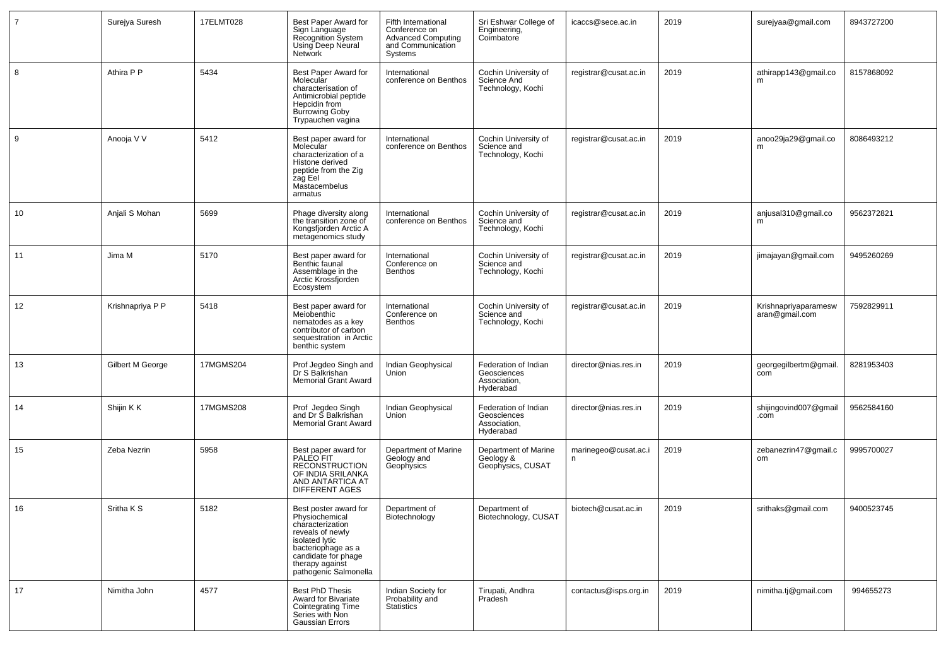| 7  | Surejya Suresh   | 17ELMT028 | Best Paper Award for<br>Sign Language<br>Recognition System<br><b>Using Deep Neural</b><br><b>Network</b>                                                                                  | Fifth International<br>Conference on<br><b>Advanced Computing</b><br>and Communication<br>Systems | Sri Eshwar College of<br>Engineering,<br>Coimbatore              | icaccs@sece.ac.in         | 2019 | surejyaa@gmail.com                     | 8943727200 |
|----|------------------|-----------|--------------------------------------------------------------------------------------------------------------------------------------------------------------------------------------------|---------------------------------------------------------------------------------------------------|------------------------------------------------------------------|---------------------------|------|----------------------------------------|------------|
| 8  | Athira P P       | 5434      | Best Paper Award for<br>Molecular<br>characterisation of<br>Antimicrobial peptide<br>Hepcidin from<br><b>Burrowing Goby</b><br>Trypauchen vagina                                           | International<br>conference on Benthos                                                            | Cochin University of<br>Science And<br>Technology, Kochi         | registrar@cusat.ac.in     | 2019 | athirapp143@gmail.co<br>m              | 8157868092 |
| 9  | Anooja V V       | 5412      | Best paper award for<br>Molecular<br>characterization of a<br>Histone derived<br>peptide from the Zig<br>zag Eel<br>Mastacembelus<br>armatus                                               | International<br>conference on Benthos                                                            | Cochin University of<br>Science and<br>Technology, Kochi         | registrar@cusat.ac.in     | 2019 | anoo29ja29@gmail.co<br>m               | 8086493212 |
| 10 | Anjali S Mohan   | 5699      | Phage diversity along<br>the transition zone of<br>Kongsfjorden Arctic A<br>metagenomics study                                                                                             | International<br>conference on Benthos                                                            | Cochin University of<br>Science and<br>Technology, Kochi         | registrar@cusat.ac.in     | 2019 | anjusal310@gmail.co<br>m               | 9562372821 |
| 11 | Jima M           | 5170      | Best paper award for<br>Benthic faunal<br>Assemblage in the<br>Arctic Krossfjorden<br>Ecosystem                                                                                            | International<br>Conference on<br>Benthos                                                         | Cochin University of<br>Science and<br>Technology, Kochi         | registrar@cusat.ac.in     | 2019 | jimajayan@gmail.com                    | 9495260269 |
| 12 | Krishnapriya P P | 5418      | Best paper award for<br>Meiobenthic<br>nematodes as a key<br>contributor of carbon<br>sequestration in Arctic<br>benthic system                                                            | International<br>Conference on<br>Benthos                                                         | Cochin University of<br>Science and<br>Technology, Kochi         | registrar@cusat.ac.in     | 2019 | Krishnapriyaparamesw<br>aran@gmail.com | 7592829911 |
| 13 | Gilbert M George | 17MGMS204 | Prof Jegdeo Singh and<br>Dr S Balkrishan<br><b>Memorial Grant Award</b>                                                                                                                    | Indian Geophysical<br>Union                                                                       | Federation of Indian<br>Geosciences<br>Association,<br>Hyderabad | director@nias.res.in      | 2019 | georgegilbertm@gmail.<br>com           | 8281953403 |
| 14 | Shijin K K       | 17MGMS208 | Prof Jegdeo Singh<br>and Dr S Balkrishan<br><b>Memorial Grant Award</b>                                                                                                                    | Indian Geophysical<br>Union                                                                       | Federation of Indian<br>Geosciences<br>Association,<br>Hyderabad | director@nias.res.in      | 2019 | shijingovind007@gmail<br>.com          | 9562584160 |
| 15 | Zeba Nezrin      | 5958      | Best paper award for<br>PALEO FIT<br><b>RECONSTRUCTION</b><br>OF INDIA SRILANKA<br>AND ANTARTICA AT<br><b>DIFFERENT AGES</b>                                                               | Department of Marine<br>Geology and<br>Geophysics                                                 | Department of Marine<br>Geology &<br>Geophysics, CUSAT           | marinegeo@cusat.ac.i<br>n | 2019 | zebanezrin47@gmail.c<br>om             | 9995700027 |
| 16 | Sritha K S       | 5182      | Best poster award for<br>Physiochemical<br>characterization<br>reveals of newly<br>isolated lytic<br>bacteriophage as a<br>candidate for phage<br>therapy against<br>pathogenic Salmonella | Department of<br>Biotechnology                                                                    | Department of<br>Biotechnology, CUSAT                            | biotech@cusat.ac.in       | 2019 | srithaks@gmail.com                     | 9400523745 |
| 17 | Nimitha John     | 4577      | Best PhD Thesis<br>Award for Bivariate<br>Cointegrating Time<br>Series with Non<br><b>Gaussian Errors</b>                                                                                  | Indian Society for<br>Probability and<br>Statistics                                               | Tirupati, Andhra<br>Pradesh                                      | contactus@isps.org.in     | 2019 | nimitha.tj@gmail.com                   | 994655273  |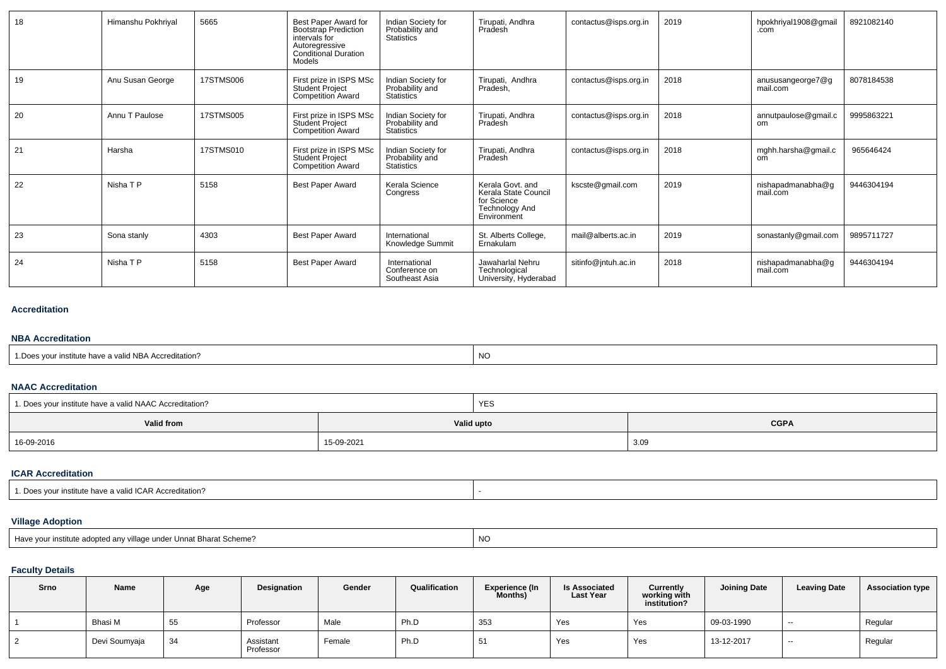| 18 | Himanshu Pokhriyal | 5665      | Best Paper Award for<br>Bootstrap Prediction<br>intervals for<br>Autoregressive<br><b>Conditional Duration</b><br>Models | Indian Society for<br>Probability and<br>Statistics              | Tirupati, Andhra<br>Pradesh                                                                     | contactus@isps.org.in | 2019 | hpokhriyal1908@gmail<br>.com  | 8921082140 |
|----|--------------------|-----------|--------------------------------------------------------------------------------------------------------------------------|------------------------------------------------------------------|-------------------------------------------------------------------------------------------------|-----------------------|------|-------------------------------|------------|
| 19 | Anu Susan George   | 17STMS006 | First prize in ISPS MSc<br><b>Student Project</b><br><b>Competition Award</b>                                            | Indian Society for<br>Probability and<br><b>Statistics</b>       | Tirupati, Andhra<br>Pradesh,                                                                    | contactus@isps.org.in | 2018 | anususangeorge7@g<br>mail.com | 8078184538 |
| 20 | Annu T Paulose     | 17STMS005 | First prize in ISPS MSc<br><b>Student Project</b><br>Competition Award                                                   | Indian Society for<br>Probability and<br><b>Statistics</b>       | Tirupati, Andhra<br>Pradesh                                                                     | contactus@isps.org.in | 2018 | annutpaulose@gmail.c<br>om    | 9995863221 |
| 21 | Harsha             | 17STMS010 | First prize in ISPS MSc<br>Student Project<br><b>Competition Award</b>                                                   | Indian Society for<br>Probability and<br>Statistics <sup>1</sup> | Tirupati, Andhra<br>Pradesh                                                                     | contactus@isps.org.in | 2018 | mghh.harsha@gmail.c<br>om     | 965646424  |
| 22 | Nisha T P          | 5158      | <b>Best Paper Award</b>                                                                                                  | Kerala Science<br>Congress                                       | Kerala Govt. and<br>Kerala State Council<br>for Science<br><b>Technology And</b><br>Environment | kscste@gmail.com      | 2019 | nishapadmanabha@g<br>mail.com | 9446304194 |
| 23 | Sona stanly        | 4303      | <b>Best Paper Award</b>                                                                                                  | International<br>Knowledge Summit                                | St. Alberts College,<br>Ernakulam                                                               | mail@alberts.ac.in    | 2019 | sonastanly@gmail.com          | 9895711727 |
| 24 | Nisha T P          | 5158      | <b>Best Paper Award</b>                                                                                                  | International<br>Conference on<br>Southeast Asia                 | Jawaharlal Nehru<br>Technological<br>University, Hyderabad                                      | sitinfo@jntuh.ac.in   | 2018 | nishapadmanabha@g<br>mail.com | 9446304194 |

#### **Accreditation**

#### **NBA Accreditation**

| a valid NP <sup>1</sup><br>l NBA Accreditation?<br>. stitute nave $\hat{\ }$<br>∗ vuu. | <b>NO</b> |
|----------------------------------------------------------------------------------------|-----------|
|----------------------------------------------------------------------------------------|-----------|

#### **NAAC Accreditation**

| 1. Does your institute have a valid NAAC Accreditation? |            | YES        |             |
|---------------------------------------------------------|------------|------------|-------------|
| Valid from                                              |            | Valid upto | <b>CGPA</b> |
| 16-09-2016                                              | 15-09-2021 |            | 3.09        |

### **ICAR Accreditation**

# **Village Adoption**

| e adopted anv village under Unnat Bharat Scheme?<br>institute adopt | <b>NC</b> |
|---------------------------------------------------------------------|-----------|
|---------------------------------------------------------------------|-----------|

# **Faculty Details**

| Srno | Name          | Age | Designation            | Gender | Qualification | <b>Experience (In</b><br><b>Months)</b> | <b>Is Associated</b><br>Last Year | Currently<br>working with<br>institution? | <b>Joining Date</b> | <b>Leaving Date</b> | <b>Association type</b> |
|------|---------------|-----|------------------------|--------|---------------|-----------------------------------------|-----------------------------------|-------------------------------------------|---------------------|---------------------|-------------------------|
|      | Bhasi M       | 55  | Professor              | Male   | Ph.D          | 353                                     | Yes                               | Yes                                       | 09-03-1990          | $- -$               | Regular                 |
|      | Devi Soumyaja | 34  | Assistant<br>Professor | Female | Ph.D          | E <sub>4</sub><br>ັບເ                   | Yes                               | Yes                                       | 13-12-2017          | $- -$               | Regular                 |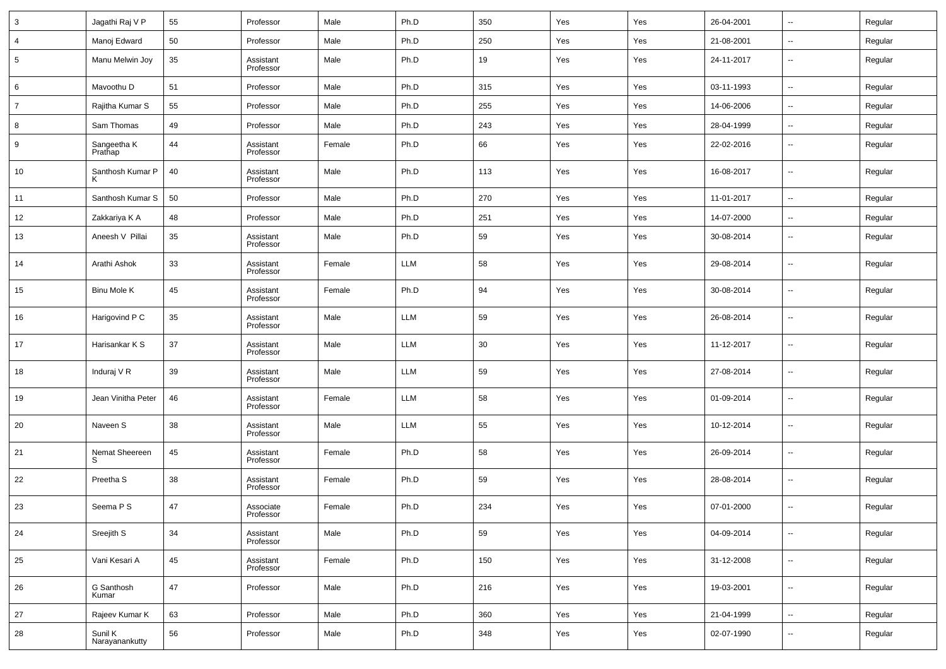| 3              | Jagathi Raj V P           | 55 | Professor              | Male   | Ph.D       | 350 | Yes | Yes | 26-04-2001 | $\overline{\phantom{a}}$ | Regular |
|----------------|---------------------------|----|------------------------|--------|------------|-----|-----|-----|------------|--------------------------|---------|
| 4              | Manoj Edward              | 50 | Professor              | Male   | Ph.D       | 250 | Yes | Yes | 21-08-2001 | $\overline{\phantom{a}}$ | Regular |
| 5              | Manu Melwin Joy           | 35 | Assistant<br>Professor | Male   | Ph.D       | 19  | Yes | Yes | 24-11-2017 | $\overline{\phantom{a}}$ | Regular |
| 6              | Mavoothu D                | 51 | Professor              | Male   | Ph.D       | 315 | Yes | Yes | 03-11-1993 | $\ddotsc$                | Regular |
| $\overline{7}$ | Rajitha Kumar S           | 55 | Professor              | Male   | Ph.D       | 255 | Yes | Yes | 14-06-2006 | $\overline{\phantom{a}}$ | Regular |
| 8              | Sam Thomas                | 49 | Professor              | Male   | Ph.D       | 243 | Yes | Yes | 28-04-1999 | $\overline{\phantom{a}}$ | Regular |
| 9              | Sangeetha K<br>Prathap    | 44 | Assistant<br>Professor | Female | Ph.D       | 66  | Yes | Yes | 22-02-2016 | $\overline{\phantom{a}}$ | Regular |
| 10             | Santhosh Kumar P<br>K     | 40 | Assistant<br>Professor | Male   | Ph.D       | 113 | Yes | Yes | 16-08-2017 | $\overline{\phantom{a}}$ | Regular |
| 11             | Santhosh Kumar S          | 50 | Professor              | Male   | Ph.D       | 270 | Yes | Yes | 11-01-2017 | $\sim$                   | Regular |
| 12             | Zakkariya K A             | 48 | Professor              | Male   | Ph.D       | 251 | Yes | Yes | 14-07-2000 | $\sim$                   | Regular |
| 13             | Aneesh V Pillai           | 35 | Assistant<br>Professor | Male   | Ph.D       | 59  | Yes | Yes | 30-08-2014 | $\overline{\phantom{a}}$ | Regular |
| 14             | Arathi Ashok              | 33 | Assistant<br>Professor | Female | <b>LLM</b> | 58  | Yes | Yes | 29-08-2014 | $\overline{\phantom{a}}$ | Regular |
| 15             | Binu Mole K               | 45 | Assistant<br>Professor | Female | Ph.D       | 94  | Yes | Yes | 30-08-2014 | $\overline{\phantom{a}}$ | Regular |
| 16             | Harigovind P C            | 35 | Assistant<br>Professor | Male   | <b>LLM</b> | 59  | Yes | Yes | 26-08-2014 | $\overline{\phantom{a}}$ | Regular |
| 17             | Harisankar K S            | 37 | Assistant<br>Professor | Male   | <b>LLM</b> | 30  | Yes | Yes | 11-12-2017 | $\overline{\phantom{a}}$ | Regular |
| 18             | Induraj V R               | 39 | Assistant<br>Professor | Male   | <b>LLM</b> | 59  | Yes | Yes | 27-08-2014 | $\overline{\phantom{a}}$ | Regular |
| 19             | Jean Vinitha Peter        | 46 | Assistant<br>Professor | Female | <b>LLM</b> | 58  | Yes | Yes | 01-09-2014 | $\overline{\phantom{a}}$ | Regular |
| 20             | Naveen S                  | 38 | Assistant<br>Professor | Male   | <b>LLM</b> | 55  | Yes | Yes | 10-12-2014 | $\overline{\phantom{a}}$ | Regular |
| 21             | Nemat Sheereen<br>S       | 45 | Assistant<br>Professor | Female | Ph.D       | 58  | Yes | Yes | 26-09-2014 | $\overline{\phantom{a}}$ | Regular |
| 22             | Preetha <sub>S</sub>      | 38 | Assistant<br>Professor | Female | Ph.D       | 59  | Yes | Yes | 28-08-2014 | $\overline{\phantom{a}}$ | Regular |
| 23             | Seema P S                 | 47 | Associate<br>Professor | Female | Ph.D       | 234 | Yes | Yes | 07-01-2000 | $\overline{\phantom{a}}$ | Regular |
| 24             | Sreejith S                | 34 | Assistant<br>Professor | Male   | Ph.D       | 59  | Yes | Yes | 04-09-2014 | $\overline{\phantom{a}}$ | Regular |
| 25             | Vani Kesari A             | 45 | Assistant<br>Professor | Female | Ph.D       | 150 | Yes | Yes | 31-12-2008 | $\overline{\phantom{a}}$ | Regular |
| 26             | G Santhosh<br>Kumar       | 47 | Professor              | Male   | Ph.D       | 216 | Yes | Yes | 19-03-2001 | $\overline{\phantom{a}}$ | Regular |
| 27             | Rajeev Kumar K            | 63 | Professor              | Male   | Ph.D       | 360 | Yes | Yes | 21-04-1999 | $\sim$                   | Regular |
| 28             | Sunil K<br>Narayanankutty | 56 | Professor              | Male   | Ph.D       | 348 | Yes | Yes | 02-07-1990 | $\overline{\phantom{a}}$ | Regular |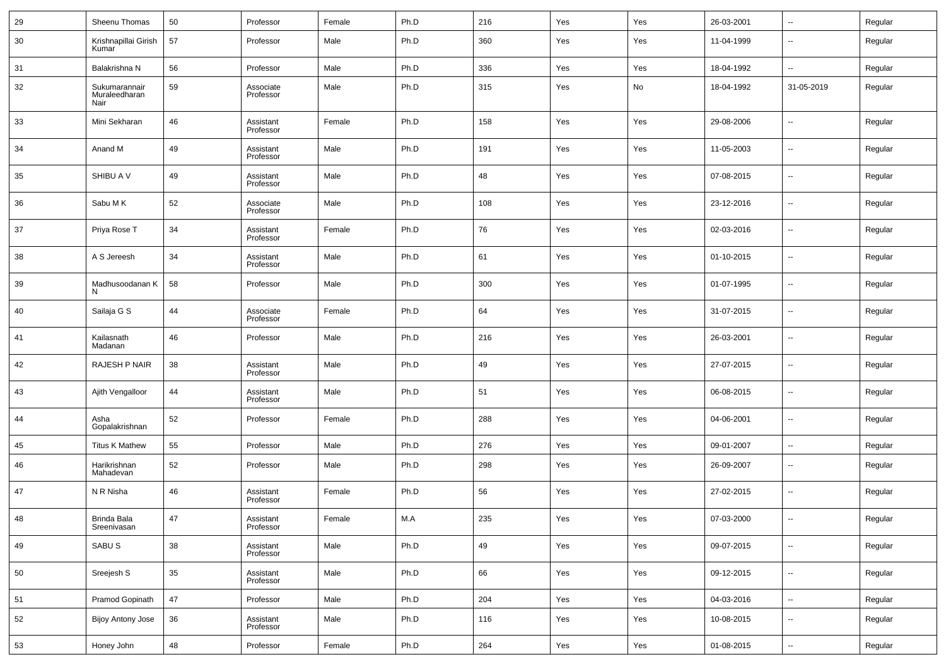| 29 | Sheenu Thomas                          | 50 | Professor              | Female | Ph.D | 216 | Yes | Yes | 26-03-2001 | $\sim$                   | Regular |
|----|----------------------------------------|----|------------------------|--------|------|-----|-----|-----|------------|--------------------------|---------|
| 30 | Krishnapillai Girish<br>Kumar          | 57 | Professor              | Male   | Ph.D | 360 | Yes | Yes | 11-04-1999 | $\overline{\phantom{a}}$ | Regular |
| 31 | Balakrishna N                          | 56 | Professor              | Male   | Ph.D | 336 | Yes | Yes | 18-04-1992 | $\overline{\phantom{a}}$ | Regular |
| 32 | Sukumarannair<br>Muraleedharan<br>Nair | 59 | Associate<br>Professor | Male   | Ph.D | 315 | Yes | No  | 18-04-1992 | 31-05-2019               | Regular |
| 33 | Mini Sekharan                          | 46 | Assistant<br>Professor | Female | Ph.D | 158 | Yes | Yes | 29-08-2006 | $\sim$                   | Regular |
| 34 | Anand M                                | 49 | Assistant<br>Professor | Male   | Ph.D | 191 | Yes | Yes | 11-05-2003 | $\overline{\phantom{a}}$ | Regular |
| 35 | SHIBU A V                              | 49 | Assistant<br>Professor | Male   | Ph.D | 48  | Yes | Yes | 07-08-2015 | $\overline{\phantom{a}}$ | Regular |
| 36 | Sabu M K                               | 52 | Associate<br>Professor | Male   | Ph.D | 108 | Yes | Yes | 23-12-2016 | $\overline{\phantom{a}}$ | Regular |
| 37 | Priya Rose T                           | 34 | Assistant<br>Professor | Female | Ph.D | 76  | Yes | Yes | 02-03-2016 | $\overline{\phantom{a}}$ | Regular |
| 38 | A S Jereesh                            | 34 | Assistant<br>Professor | Male   | Ph.D | 61  | Yes | Yes | 01-10-2015 | $\overline{\phantom{a}}$ | Regular |
| 39 | Madhusoodanan K<br>N                   | 58 | Professor              | Male   | Ph.D | 300 | Yes | Yes | 01-07-1995 | $\overline{\phantom{a}}$ | Regular |
| 40 | Sailaja G S                            | 44 | Associate<br>Professor | Female | Ph.D | 64  | Yes | Yes | 31-07-2015 | $\overline{\phantom{a}}$ | Regular |
| 41 | Kailasnath<br>Madanan                  | 46 | Professor              | Male   | Ph.D | 216 | Yes | Yes | 26-03-2001 | $\overline{\phantom{a}}$ | Regular |
| 42 | RAJESH P NAIR                          | 38 | Assistant<br>Professor | Male   | Ph.D | 49  | Yes | Yes | 27-07-2015 | $\overline{\phantom{a}}$ | Regular |
| 43 | Ajith Vengalloor                       | 44 | Assistant<br>Professor | Male   | Ph.D | 51  | Yes | Yes | 06-08-2015 | $\overline{\phantom{a}}$ | Regular |
| 44 | Asha<br>Gopalakrishnan                 | 52 | Professor              | Female | Ph.D | 288 | Yes | Yes | 04-06-2001 | $\overline{\phantom{a}}$ | Regular |
| 45 | <b>Titus K Mathew</b>                  | 55 | Professor              | Male   | Ph.D | 276 | Yes | Yes | 09-01-2007 | $\overline{\phantom{a}}$ | Regular |
| 46 | Harikrishnan<br>Mahadevan              | 52 | Professor              | Male   | Ph.D | 298 | Yes | Yes | 26-09-2007 | $\overline{\phantom{a}}$ | Regular |
| 47 | N R Nisha                              | 46 | Assistant<br>Professor | Female | Ph.D | 56  | Yes | Yes | 27-02-2015 | $\overline{\phantom{a}}$ | Regular |
| 48 | Brinda Bala<br>Sreenivasan             | 47 | Assistant<br>Professor | Female | M.A  | 235 | Yes | Yes | 07-03-2000 | $\overline{\phantom{a}}$ | Regular |
| 49 | SABU <sub>S</sub>                      | 38 | Assistant<br>Professor | Male   | Ph.D | 49  | Yes | Yes | 09-07-2015 | $\overline{\phantom{a}}$ | Regular |
| 50 | Sreejesh S                             | 35 | Assistant<br>Professor | Male   | Ph.D | 66  | Yes | Yes | 09-12-2015 | $\sim$                   | Regular |
| 51 | Pramod Gopinath                        | 47 | Professor              | Male   | Ph.D | 204 | Yes | Yes | 04-03-2016 | $\overline{\phantom{a}}$ | Regular |
| 52 | <b>Bijoy Antony Jose</b>               | 36 | Assistant<br>Professor | Male   | Ph.D | 116 | Yes | Yes | 10-08-2015 | $\overline{\phantom{a}}$ | Regular |
| 53 | Honey John                             | 48 | Professor              | Female | Ph.D | 264 | Yes | Yes | 01-08-2015 | $\overline{\phantom{a}}$ | Regular |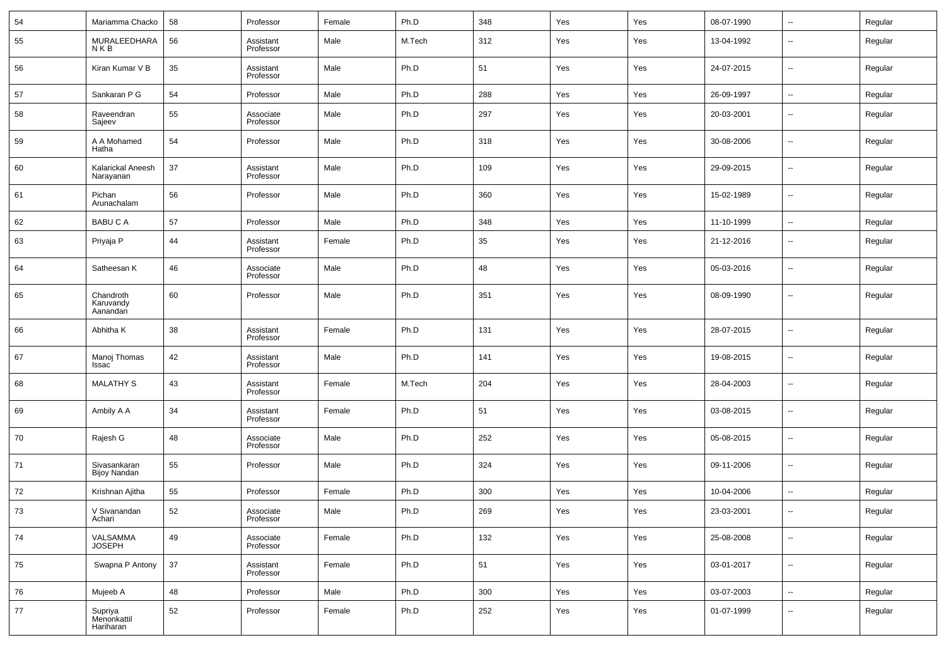| 54 | Mariamma Chacko                     | 58 | Professor              | Female | Ph.D   | 348 | Yes | Yes | 08-07-1990 | $\sim$                   | Regular |
|----|-------------------------------------|----|------------------------|--------|--------|-----|-----|-----|------------|--------------------------|---------|
| 55 | MURALEEDHARA<br>NKB                 | 56 | Assistant<br>Professor | Male   | M.Tech | 312 | Yes | Yes | 13-04-1992 | н.                       | Regular |
| 56 | Kiran Kumar V B                     | 35 | Assistant<br>Professor | Male   | Ph.D   | 51  | Yes | Yes | 24-07-2015 | $\sim$                   | Regular |
| 57 | Sankaran P G                        | 54 | Professor              | Male   | Ph.D   | 288 | Yes | Yes | 26-09-1997 | $\overline{\phantom{a}}$ | Regular |
| 58 | Raveendran<br>Sajeev                | 55 | Associate<br>Professor | Male   | Ph.D   | 297 | Yes | Yes | 20-03-2001 | $\sim$                   | Regular |
| 59 | A A Mohamed<br>Hatha                | 54 | Professor              | Male   | Ph.D   | 318 | Yes | Yes | 30-08-2006 | $\overline{\phantom{a}}$ | Regular |
| 60 | Kalarickal Aneesh<br>Narayanan      | 37 | Assistant<br>Professor | Male   | Ph.D   | 109 | Yes | Yes | 29-09-2015 | $\sim$                   | Regular |
| 61 | Pichan<br>Arunachalam               | 56 | Professor              | Male   | Ph.D   | 360 | Yes | Yes | 15-02-1989 | $\overline{\phantom{a}}$ | Regular |
| 62 | <b>BABUCA</b>                       | 57 | Professor              | Male   | Ph.D   | 348 | Yes | Yes | 11-10-1999 | $\overline{\phantom{a}}$ | Regular |
| 63 | Priyaja P                           | 44 | Assistant<br>Professor | Female | Ph.D   | 35  | Yes | Yes | 21-12-2016 | --                       | Regular |
| 64 | Satheesan K                         | 46 | Associate<br>Professor | Male   | Ph.D   | 48  | Yes | Yes | 05-03-2016 | --                       | Regular |
| 65 | Chandroth<br>Karuvandy<br>Aanandan  | 60 | Professor              | Male   | Ph.D   | 351 | Yes | Yes | 08-09-1990 | --                       | Regular |
| 66 | Abhitha K                           | 38 | Assistant<br>Professor | Female | Ph.D   | 131 | Yes | Yes | 28-07-2015 | $\overline{\phantom{a}}$ | Regular |
| 67 | Manoj Thomas<br>Issac               | 42 | Assistant<br>Professor | Male   | Ph.D   | 141 | Yes | Yes | 19-08-2015 | $\overline{\phantom{a}}$ | Regular |
| 68 | <b>MALATHY S</b>                    | 43 | Assistant<br>Professor | Female | M.Tech | 204 | Yes | Yes | 28-04-2003 | $\sim$                   | Regular |
| 69 | Ambily A A                          | 34 | Assistant<br>Professor | Female | Ph.D   | 51  | Yes | Yes | 03-08-2015 | $\overline{\phantom{a}}$ | Regular |
| 70 | Rajesh G                            | 48 | Associate<br>Professor | Male   | Ph.D   | 252 | Yes | Yes | 05-08-2015 | $\overline{\phantom{a}}$ | Regular |
| 71 | Sivasankaran<br>Bijoy Nandan        | 55 | Professor              | Male   | Ph.D   | 324 | Yes | Yes | 09-11-2006 | $\overline{\phantom{a}}$ | Regular |
| 72 | Krishnan Ajitha                     | 55 | Professor              | Female | Ph.D   | 300 | Yes | Yes | 10-04-2006 | $\overline{\phantom{a}}$ | Regular |
| 73 | V Sivanandan<br>Achari              | 52 | Associate<br>Professor | Male   | Ph.D   | 269 | Yes | Yes | 23-03-2001 | --                       | Regular |
| 74 | VALSAMMA<br>JOSEPH                  | 49 | Associate<br>Professor | Female | Ph.D   | 132 | Yes | Yes | 25-08-2008 | $\sim$                   | Regular |
| 75 | Swapna P Antony                     | 37 | Assistant<br>Professor | Female | Ph.D   | 51  | Yes | Yes | 03-01-2017 | $\sim$                   | Regular |
| 76 | Mujeeb A                            | 48 | Professor              | Male   | Ph.D   | 300 | Yes | Yes | 03-07-2003 | $\overline{\phantom{a}}$ | Regular |
| 77 | Supriya<br>Menonkattil<br>Hariharan | 52 | Professor              | Female | Ph.D   | 252 | Yes | Yes | 01-07-1999 | н.                       | Regular |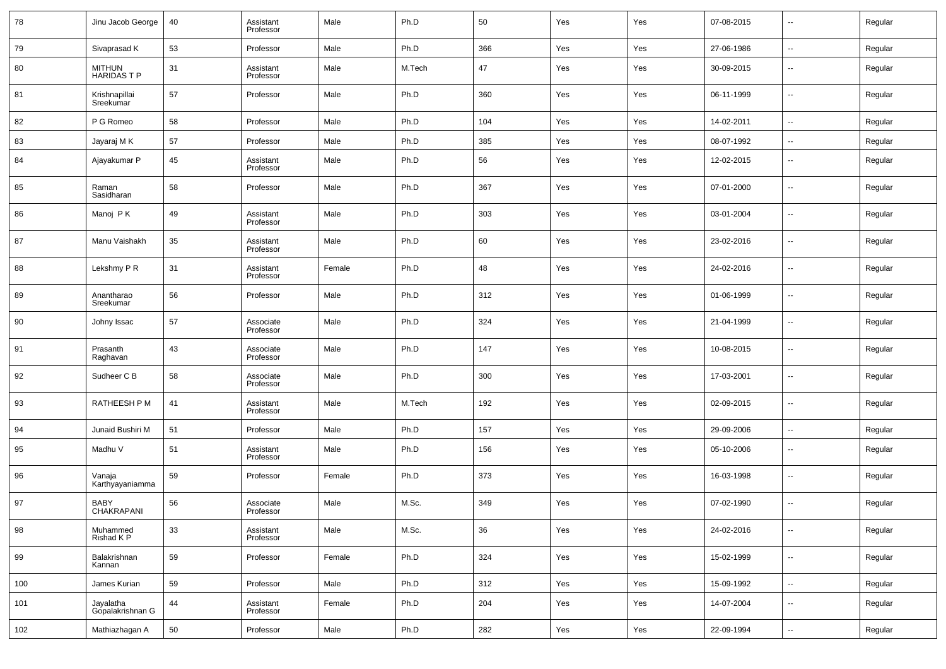| 78  | Jinu Jacob George                 | 40 | Assistant<br>Professor | Male   | Ph.D   | 50  | Yes | Yes | 07-08-2015 | $\overline{\phantom{a}}$ | Regular |
|-----|-----------------------------------|----|------------------------|--------|--------|-----|-----|-----|------------|--------------------------|---------|
| 79  | Sivaprasad K                      | 53 | Professor              | Male   | Ph.D   | 366 | Yes | Yes | 27-06-1986 | ш.                       | Regular |
| 80  | <b>MITHUN</b><br><b>HARIDASTP</b> | 31 | Assistant<br>Professor | Male   | M.Tech | 47  | Yes | Yes | 30-09-2015 | $\sim$                   | Regular |
| 81  | Krishnapillai<br>Sreekumar        | 57 | Professor              | Male   | Ph.D   | 360 | Yes | Yes | 06-11-1999 | ш.                       | Regular |
| 82  | P G Romeo                         | 58 | Professor              | Male   | Ph.D   | 104 | Yes | Yes | 14-02-2011 | $\sim$                   | Regular |
| 83  | Jayaraj M K                       | 57 | Professor              | Male   | Ph.D   | 385 | Yes | Yes | 08-07-1992 | --                       | Regular |
| 84  | Ajayakumar P                      | 45 | Assistant<br>Professor | Male   | Ph.D   | 56  | Yes | Yes | 12-02-2015 | --                       | Regular |
| 85  | Raman<br>Sasidharan               | 58 | Professor              | Male   | Ph.D   | 367 | Yes | Yes | 07-01-2000 | --                       | Regular |
| 86  | Manoj PK                          | 49 | Assistant<br>Professor | Male   | Ph.D   | 303 | Yes | Yes | 03-01-2004 | --                       | Regular |
| 87  | Manu Vaishakh                     | 35 | Assistant<br>Professor | Male   | Ph.D   | 60  | Yes | Yes | 23-02-2016 | --                       | Regular |
| 88  | Lekshmy P R                       | 31 | Assistant<br>Professor | Female | Ph.D   | 48  | Yes | Yes | 24-02-2016 | --                       | Regular |
| 89  | Anantharao<br>Sreekumar           | 56 | Professor              | Male   | Ph.D   | 312 | Yes | Yes | 01-06-1999 | --                       | Regular |
| 90  | Johny Issac                       | 57 | Associate<br>Professor | Male   | Ph.D   | 324 | Yes | Yes | 21-04-1999 | --                       | Regular |
| 91  | Prasanth<br>Raghavan              | 43 | Associate<br>Professor | Male   | Ph.D   | 147 | Yes | Yes | 10-08-2015 | --                       | Regular |
| 92  | Sudheer C B                       | 58 | Associate<br>Professor | Male   | Ph.D   | 300 | Yes | Yes | 17-03-2001 | --                       | Regular |
| 93  | RATHEESH P M                      | 41 | Assistant<br>Professor | Male   | M.Tech | 192 | Yes | Yes | 02-09-2015 | --                       | Regular |
| 94  | Junaid Bushiri M                  | 51 | Professor              | Male   | Ph.D   | 157 | Yes | Yes | 29-09-2006 | --                       | Regular |
| 95  | Madhu V                           | 51 | Assistant<br>Professor | Male   | Ph.D   | 156 | Yes | Yes | 05-10-2006 | --                       | Regular |
| 96  | Vanaja<br>Karthyayaniamma         | 59 | Professor              | Female | Ph.D   | 373 | Yes | Yes | 16-03-1998 | --                       | Regular |
| 97  | BABY<br>CHAKRAPANI                | 56 | Associate<br>Professor | Male   | M.Sc.  | 349 | Yes | Yes | 07-02-1990 | $\overline{a}$           | Regular |
| 98  | Muhammed<br>Rishad K P            | 33 | Assistant<br>Professor | Male   | M.Sc.  | 36  | Yes | Yes | 24-02-2016 | н.                       | Regular |
| 99  | Balakrishnan<br>Kannan            | 59 | Professor              | Female | Ph.D   | 324 | Yes | Yes | 15-02-1999 | $\sim$                   | Regular |
| 100 | James Kurian                      | 59 | Professor              | Male   | Ph.D   | 312 | Yes | Yes | 15-09-1992 | $\sim$                   | Regular |
| 101 | Jayalatha<br>Gopalakrishnan G     | 44 | Assistant<br>Professor | Female | Ph.D   | 204 | Yes | Yes | 14-07-2004 | $\overline{\phantom{a}}$ | Regular |
| 102 | Mathiazhagan A                    | 50 | Professor              | Male   | Ph.D   | 282 | Yes | Yes | 22-09-1994 | $\overline{\phantom{a}}$ | Regular |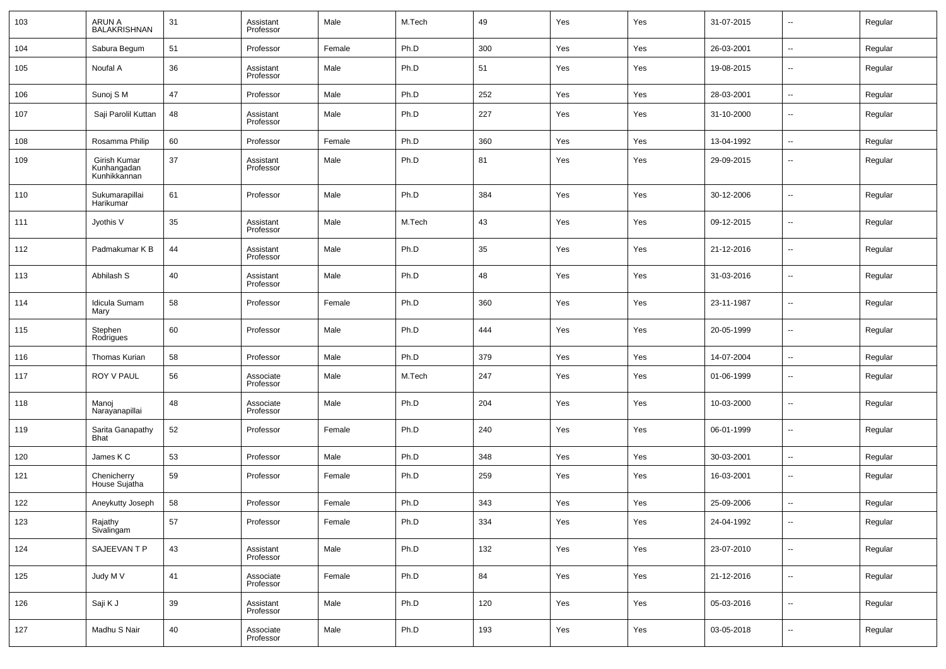| 103 | <b>ARUN A</b><br><b>BALAKRISHNAN</b>        | 31 | Assistant<br>Professor | Male   | M.Tech | 49  | Yes | Yes | 31-07-2015 | $\overline{\phantom{a}}$ | Regular |
|-----|---------------------------------------------|----|------------------------|--------|--------|-----|-----|-----|------------|--------------------------|---------|
| 104 | Sabura Begum                                | 51 | Professor              | Female | Ph.D   | 300 | Yes | Yes | 26-03-2001 | $\overline{\phantom{a}}$ | Regular |
| 105 | Noufal A                                    | 36 | Assistant<br>Professor | Male   | Ph.D   | 51  | Yes | Yes | 19-08-2015 | $\sim$                   | Regular |
| 106 | Sunoj S M                                   | 47 | Professor              | Male   | Ph.D   | 252 | Yes | Yes | 28-03-2001 | $\overline{\phantom{a}}$ | Regular |
| 107 | Saji Parolil Kuttan                         | 48 | Assistant<br>Professor | Male   | Ph.D   | 227 | Yes | Yes | 31-10-2000 | $\sim$                   | Regular |
| 108 | Rosamma Philip                              | 60 | Professor              | Female | Ph.D   | 360 | Yes | Yes | 13-04-1992 | $\overline{\phantom{a}}$ | Regular |
| 109 | Girish Kumar<br>Kunhangadan<br>Kunhikkannan | 37 | Assistant<br>Professor | Male   | Ph.D   | 81  | Yes | Yes | 29-09-2015 | $\sim$                   | Regular |
| 110 | Sukumarapillai<br>Harikumar                 | 61 | Professor              | Male   | Ph.D   | 384 | Yes | Yes | 30-12-2006 | $\overline{\phantom{a}}$ | Regular |
| 111 | Jyothis V                                   | 35 | Assistant<br>Professor | Male   | M.Tech | 43  | Yes | Yes | 09-12-2015 | $\overline{\phantom{a}}$ | Regular |
| 112 | Padmakumar K B                              | 44 | Assistant<br>Professor | Male   | Ph.D   | 35  | Yes | Yes | 21-12-2016 | $\sim$                   | Regular |
| 113 | Abhilash S                                  | 40 | Assistant<br>Professor | Male   | Ph.D   | 48  | Yes | Yes | 31-03-2016 | $\overline{\phantom{a}}$ | Regular |
| 114 | Idicula Sumam<br>Mary                       | 58 | Professor              | Female | Ph.D   | 360 | Yes | Yes | 23-11-1987 | $\sim$                   | Regular |
| 115 | Stephen<br>Rodrigues                        | 60 | Professor              | Male   | Ph.D   | 444 | Yes | Yes | 20-05-1999 | $\sim$                   | Regular |
| 116 | Thomas Kurian                               | 58 | Professor              | Male   | Ph.D   | 379 | Yes | Yes | 14-07-2004 | $\sim$                   | Regular |
| 117 | ROY V PAUL                                  | 56 | Associate<br>Professor | Male   | M.Tech | 247 | Yes | Yes | 01-06-1999 | $\sim$                   | Regular |
| 118 | Manoj<br>Narayanapillai                     | 48 | Associate<br>Professor | Male   | Ph.D   | 204 | Yes | Yes | 10-03-2000 | ш,                       | Regular |
| 119 | Sarita Ganapathy<br><b>Bhat</b>             | 52 | Professor              | Female | Ph.D   | 240 | Yes | Yes | 06-01-1999 | $\sim$                   | Regular |
| 120 | James K C                                   | 53 | Professor              | Male   | Ph.D   | 348 | Yes | Yes | 30-03-2001 | ш,                       | Regular |
| 121 | Chenicherry<br>House Sujatha                | 59 | Professor              | Female | Ph.D   | 259 | Yes | Yes | 16-03-2001 | --                       | Regular |
| 122 | Aneykutty Joseph                            | 58 | Professor              | Female | Ph.D   | 343 | Yes | Yes | 25-09-2006 | ш,                       | Regular |
| 123 | Rajathy<br>Sivalingam                       | 57 | Professor              | Female | Ph.D   | 334 | Yes | Yes | 24-04-1992 | $\overline{\phantom{a}}$ | Regular |
| 124 | SAJEEVAN T P                                | 43 | Assistant<br>Professor | Male   | Ph.D   | 132 | Yes | Yes | 23-07-2010 | ω,                       | Regular |
| 125 | Judy M V                                    | 41 | Associate<br>Professor | Female | Ph.D   | 84  | Yes | Yes | 21-12-2016 | ω,                       | Regular |
| 126 | Saji K J                                    | 39 | Assistant<br>Professor | Male   | Ph.D   | 120 | Yes | Yes | 05-03-2016 | ٠.                       | Regular |
| 127 | Madhu S Nair                                | 40 | Associate<br>Professor | Male   | Ph.D   | 193 | Yes | Yes | 03-05-2018 | ٠.                       | Regular |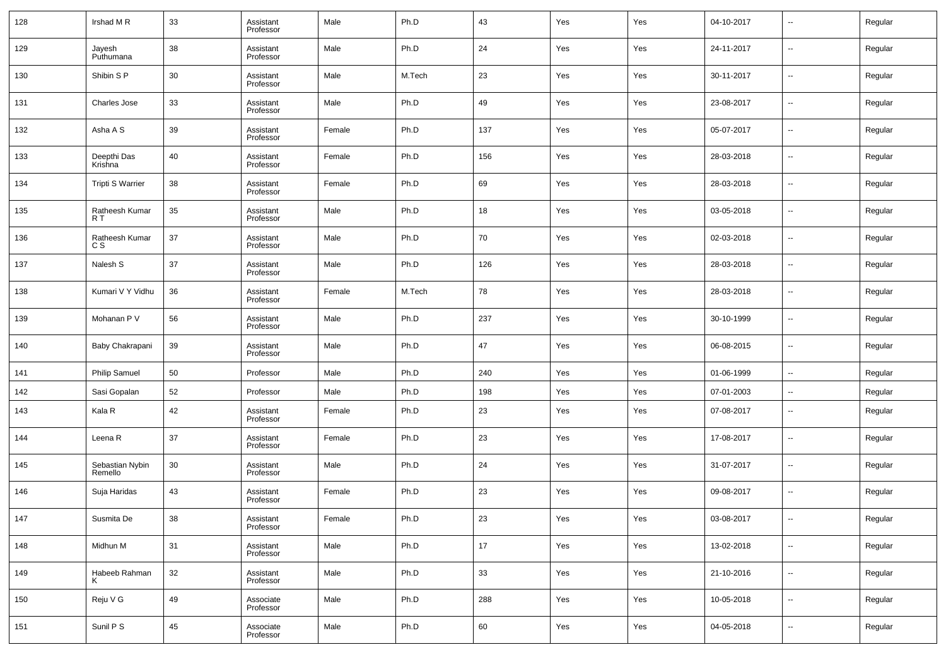| 128 | Irshad MR                  | 33 | Assistant<br>Professor | Male   | Ph.D   | 43  | Yes | Yes | 04-10-2017 | $\overline{\phantom{a}}$ | Regular |
|-----|----------------------------|----|------------------------|--------|--------|-----|-----|-----|------------|--------------------------|---------|
| 129 | Jayesh<br>Puthumana        | 38 | Assistant<br>Professor | Male   | Ph.D   | 24  | Yes | Yes | 24-11-2017 | $\overline{\phantom{a}}$ | Regular |
| 130 | Shibin S P                 | 30 | Assistant<br>Professor | Male   | M.Tech | 23  | Yes | Yes | 30-11-2017 | $\overline{\phantom{a}}$ | Regular |
| 131 | <b>Charles Jose</b>        | 33 | Assistant<br>Professor | Male   | Ph.D   | 49  | Yes | Yes | 23-08-2017 | $\overline{\phantom{a}}$ | Regular |
| 132 | Asha A S                   | 39 | Assistant<br>Professor | Female | Ph.D   | 137 | Yes | Yes | 05-07-2017 | $\overline{\phantom{a}}$ | Regular |
| 133 | Deepthi Das<br>Krishna     | 40 | Assistant<br>Professor | Female | Ph.D   | 156 | Yes | Yes | 28-03-2018 | $\overline{\phantom{a}}$ | Regular |
| 134 | <b>Tripti S Warrier</b>    | 38 | Assistant<br>Professor | Female | Ph.D   | 69  | Yes | Yes | 28-03-2018 | $\overline{\phantom{a}}$ | Regular |
| 135 | Ratheesh Kumar<br>R T      | 35 | Assistant<br>Professor | Male   | Ph.D   | 18  | Yes | Yes | 03-05-2018 | $\overline{\phantom{a}}$ | Regular |
| 136 | Ratheesh Kumar<br>c s      | 37 | Assistant<br>Professor | Male   | Ph.D   | 70  | Yes | Yes | 02-03-2018 | $\overline{\phantom{a}}$ | Regular |
| 137 | Nalesh S                   | 37 | Assistant<br>Professor | Male   | Ph.D   | 126 | Yes | Yes | 28-03-2018 | $\overline{\phantom{a}}$ | Regular |
| 138 | Kumari V Y Vidhu           | 36 | Assistant<br>Professor | Female | M.Tech | 78  | Yes | Yes | 28-03-2018 | $\overline{\phantom{a}}$ | Regular |
| 139 | Mohanan P V                | 56 | Assistant<br>Professor | Male   | Ph.D   | 237 | Yes | Yes | 30-10-1999 | $\overline{\phantom{a}}$ | Regular |
| 140 | Baby Chakrapani            | 39 | Assistant<br>Professor | Male   | Ph.D   | 47  | Yes | Yes | 06-08-2015 | $\overline{\phantom{a}}$ | Regular |
| 141 | <b>Philip Samuel</b>       | 50 | Professor              | Male   | Ph.D   | 240 | Yes | Yes | 01-06-1999 | $\overline{\phantom{a}}$ | Regular |
| 142 | Sasi Gopalan               | 52 | Professor              | Male   | Ph.D   | 198 | Yes | Yes | 07-01-2003 | $\overline{\phantom{a}}$ | Regular |
| 143 | Kala R                     | 42 | Assistant<br>Professor | Female | Ph.D   | 23  | Yes | Yes | 07-08-2017 | $\overline{\phantom{a}}$ | Regular |
| 144 | Leena R                    | 37 | Assistant<br>Professor | Female | Ph.D   | 23  | Yes | Yes | 17-08-2017 | $\overline{\phantom{a}}$ | Regular |
| 145 | Sebastian Nybin<br>Remello | 30 | Assistant<br>Professor | Male   | Ph.D   | 24  | Yes | Yes | 31-07-2017 | $\sim$                   | Regular |
| 146 | Suja Haridas               | 43 | Assistant<br>Professor | Female | Ph.D   | 23  | Yes | Yes | 09-08-2017 | $\overline{\phantom{a}}$ | Regular |
| 147 | Susmita De                 | 38 | Assistant<br>Professor | Female | Ph.D   | 23  | Yes | Yes | 03-08-2017 | $\overline{\phantom{a}}$ | Regular |
| 148 | Midhun M                   | 31 | Assistant<br>Professor | Male   | Ph.D   | 17  | Yes | Yes | 13-02-2018 | $\overline{\phantom{a}}$ | Regular |
| 149 | Habeeb Rahman<br>ĸ         | 32 | Assistant<br>Professor | Male   | Ph.D   | 33  | Yes | Yes | 21-10-2016 | $\overline{\phantom{a}}$ | Regular |
| 150 | Reju V G                   | 49 | Associate<br>Professor | Male   | Ph.D   | 288 | Yes | Yes | 10-05-2018 | $\overline{\phantom{a}}$ | Regular |
| 151 | Sunil P S                  | 45 | Associate<br>Professor | Male   | Ph.D   | 60  | Yes | Yes | 04-05-2018 | ۰.                       | Regular |